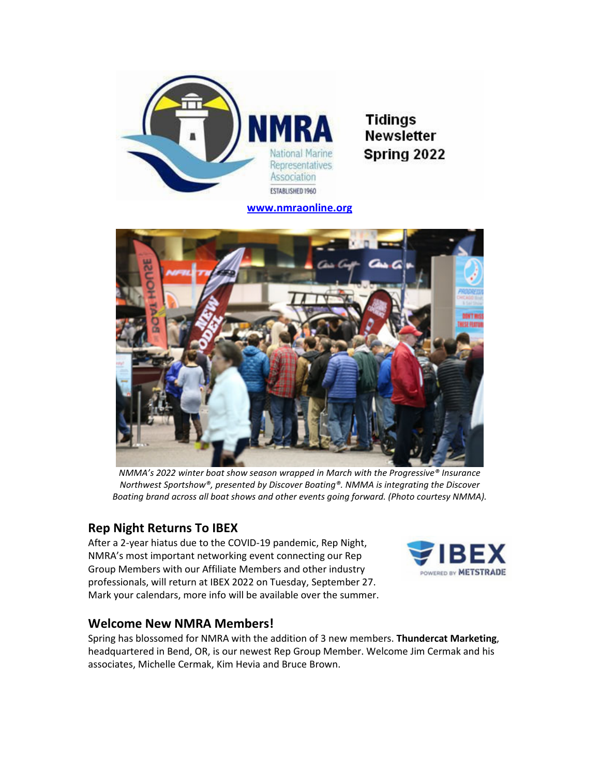

**Tidings Newsletter** Spring 2022

www.nmraonline.org



NMMA's 2022 winter boat show season wrapped in March with the Progressive® Insurance Northwest Sportshow®, presented by Discover Boating®. NMMA is integrating the Discover Boating brand across all boat shows and other events going forward. (Photo courtesy NMMA).

## Rep Night Returns To IBEX

After a 2-year hiatus due to the COVID-19 pandemic, Rep Night, NMRA's most important networking event connecting our Rep Group Members with our Affiliate Members and other industry professionals, will return at IBEX 2022 on Tuesday, September 27. Mark your calendars, more info will be available over the summer.



## Welcome New NMRA Members!

Spring has blossomed for NMRA with the addition of 3 new members. Thundercat Marketing, headquartered in Bend, OR, is our newest Rep Group Member. Welcome Jim Cermak and his associates, Michelle Cermak, Kim Hevia and Bruce Brown.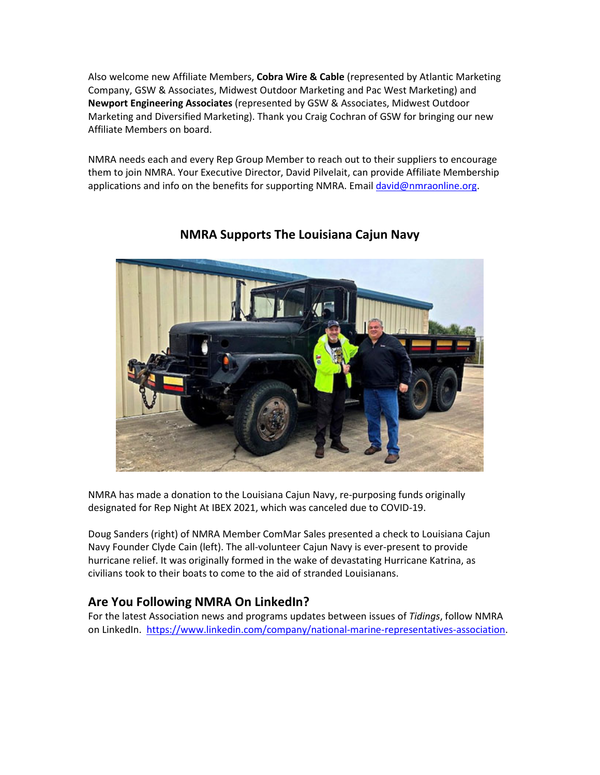Also welcome new Affiliate Members, Cobra Wire & Cable (represented by Atlantic Marketing Company, GSW & Associates, Midwest Outdoor Marketing and Pac West Marketing) and Newport Engineering Associates (represented by GSW & Associates, Midwest Outdoor Marketing and Diversified Marketing). Thank you Craig Cochran of GSW for bringing our new Affiliate Members on board.

NMRA needs each and every Rep Group Member to reach out to their suppliers to encourage them to join NMRA. Your Executive Director, David Pilvelait, can provide Affiliate Membership applications and info on the benefits for supporting NMRA. Email david@nmraonline.org.



# NMRA Supports The Louisiana Cajun Navy

NMRA has made a donation to the Louisiana Cajun Navy, re-purposing funds originally designated for Rep Night At IBEX 2021, which was canceled due to COVID-19.

Doug Sanders (right) of NMRA Member ComMar Sales presented a check to Louisiana Cajun Navy Founder Clyde Cain (left). The all-volunteer Cajun Navy is ever-present to provide hurricane relief. It was originally formed in the wake of devastating Hurricane Katrina, as civilians took to their boats to come to the aid of stranded Louisianans.

## Are You Following NMRA On LinkedIn?

For the latest Association news and programs updates between issues of Tidings, follow NMRA on LinkedIn. https://www.linkedin.com/company/national-marine-representatives-association.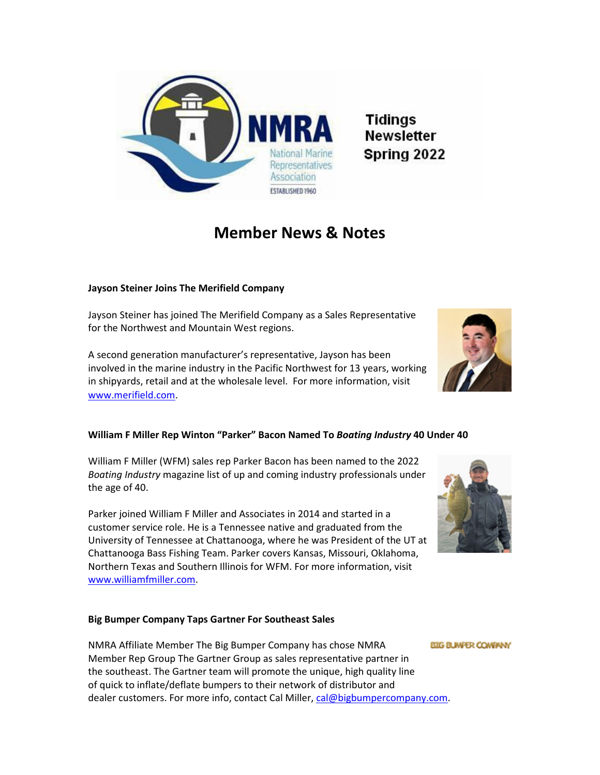

# Member News & Notes

#### Jayson Steiner Joins The Merifield Company

Jayson Steiner has joined The Merifield Company as a Sales Representative for the Northwest and Mountain West regions.

A second generation manufacturer's representative, Jayson has been involved in the marine industry in the Pacific Northwest for 13 years, working in shipyards, retail and at the wholesale level. For more information, visit www.merifield.com.

#### William F Miller Rep Winton "Parker" Bacon Named To Boating Industry 40 Under 40

William F Miller (WFM) sales rep Parker Bacon has been named to the 2022 Boating Industry magazine list of up and coming industry professionals under the age of 40.

Parker joined William F Miller and Associates in 2014 and started in a customer service role. He is a Tennessee native and graduated from the University of Tennessee at Chattanooga, where he was President of the UT at Chattanooga Bass Fishing Team. Parker covers Kansas, Missouri, Oklahoma, Northern Texas and Southern Illinois for WFM. For more information, visit www.williamfmiller.com.

#### Big Bumper Company Taps Gartner For Southeast Sales

NMRA Affiliate Member The Big Bumper Company has chose NMRA Member Rep Group The Gartner Group as sales representative partner in the southeast. The Gartner team will promote the unique, high quality line of quick to inflate/deflate bumpers to their network of distributor and dealer customers. For more info, contact Cal Miller, cal@bigbumpercompany.com.





**BIG BUWFER COMPANY**